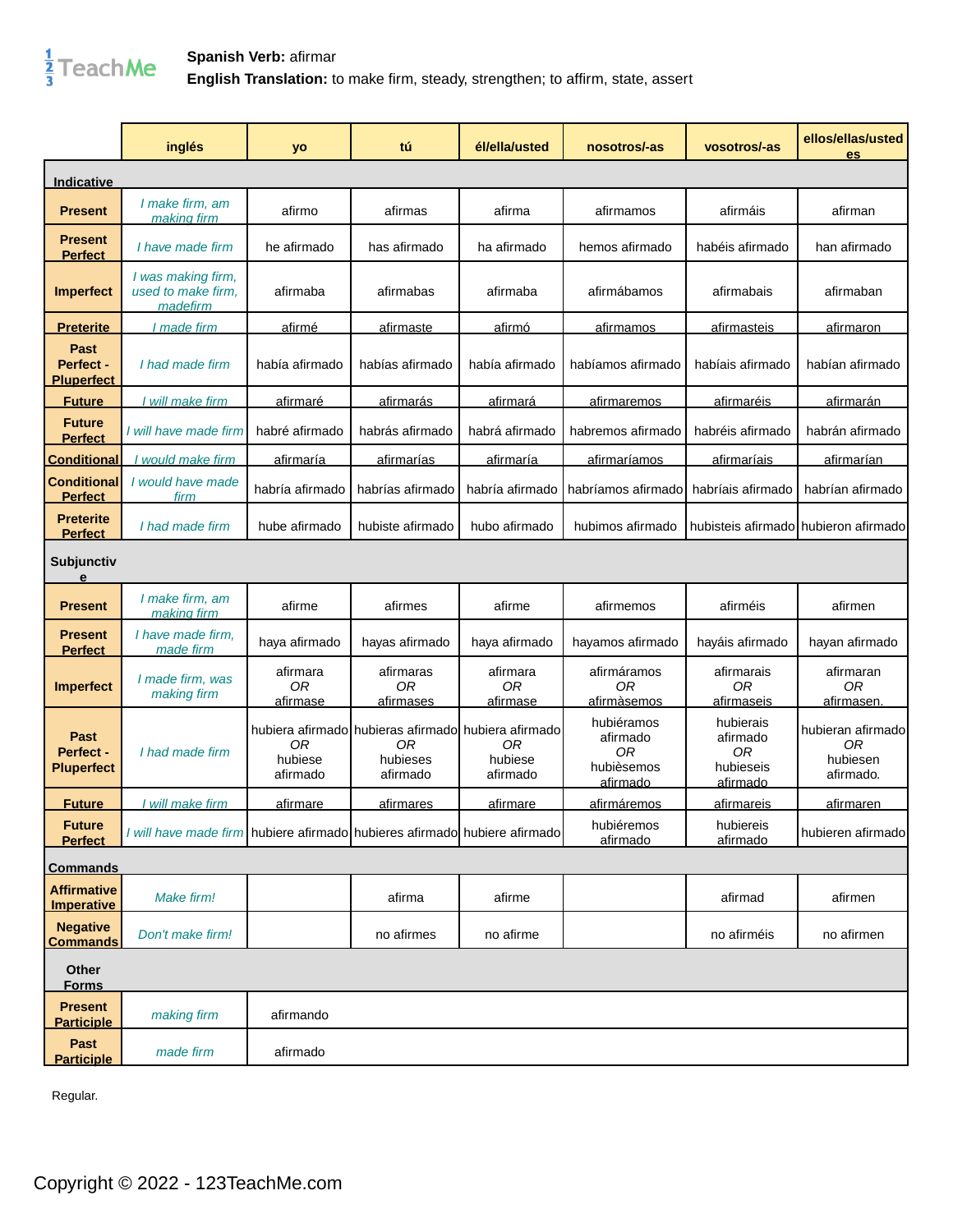

|                                         | inglés                                                                    | yo                                | tú                                                                                | él/ella/usted                          | nosotros/-as                                           | vosotros/-as                                         | ellos/ellas/usted<br>es                                      |
|-----------------------------------------|---------------------------------------------------------------------------|-----------------------------------|-----------------------------------------------------------------------------------|----------------------------------------|--------------------------------------------------------|------------------------------------------------------|--------------------------------------------------------------|
| Indicative                              |                                                                           |                                   |                                                                                   |                                        |                                                        |                                                      |                                                              |
| <b>Present</b>                          | I make firm, am<br>making firm                                            | afirmo                            | afirmas                                                                           | afirma                                 | afirmamos                                              | afirmáis                                             | afirman                                                      |
| <b>Present</b><br><b>Perfect</b>        | I have made firm                                                          | he afirmado                       | has afirmado                                                                      | ha afirmado                            | hemos afirmado                                         | habéis afirmado                                      | han afirmado                                                 |
| <b>Imperfect</b>                        | I was making firm,<br>used to make firm.<br>made firm                     | afirmaba                          | afirmabas                                                                         | afirmaba                               | afirmábamos                                            | afirmabais                                           | afirmaban                                                    |
| <b>Preterite</b>                        | I made firm                                                               | afirmé                            | afirmaste                                                                         | afirmó                                 | afirmamos                                              | afirmasteis                                          | <u>afirmaron</u>                                             |
| Past<br>Perfect -<br><b>Pluperfect</b>  | I had made firm                                                           | había afirmado                    | habías afirmado                                                                   | había afirmado                         | habíamos afirmado                                      | habíais afirmado                                     | habían afirmado                                              |
| <b>Future</b>                           | I will make firm                                                          | afirmaré                          | afirmarás                                                                         | afirmará                               | afirmaremos                                            | afirmaréis                                           | <u>afirmarán</u>                                             |
| <b>Future</b><br><b>Perfect</b>         | I will have made firm                                                     | habré afirmado                    | habrás afirmado                                                                   | habrá afirmado                         | habremos afirmado                                      | habréis afirmado                                     | habrán afirmado                                              |
| <b>Conditional</b>                      | would make firm                                                           | afirmaría                         | afirmarías                                                                        | afirmaría                              | afirmaríamos                                           | afirmaríais                                          | afirmarían                                                   |
| <b>Conditional</b><br><b>Perfect</b>    | I would have made<br>firm                                                 | habría afirmado                   | habrías afirmado                                                                  | habría afirmado                        | habríamos afirmado                                     | habríais afirmado                                    | habrían afirmado                                             |
| <b>Preterite</b><br><b>Perfect</b>      | I had made firm                                                           | hube afirmado                     | hubiste afirmado                                                                  | hubo afirmado                          | hubimos afirmado                                       | hubisteis afirmado                                   | hubieron afirmado                                            |
| Subjunctiv<br>е                         |                                                                           |                                   |                                                                                   |                                        |                                                        |                                                      |                                                              |
| <b>Present</b>                          | I make firm, am<br><u>makina firm</u>                                     | afirme                            | afirmes                                                                           | afirme                                 | afirmemos                                              | afirméis                                             | afirmen                                                      |
| Present<br><b>Perfect</b>               | I have made firm,<br>made firm                                            | haya afirmado                     | hayas afirmado                                                                    | haya afirmado                          | hayamos afirmado                                       | hayáis afirmado                                      | hayan afirmado                                               |
| <b>Imperfect</b>                        | I made firm, was<br>making firm                                           | afirmara<br><b>OR</b><br>afirmase | afirmaras<br>0R<br>afirmases                                                      | afirmara<br>0 <sub>R</sub><br>afirmase | afirmáramos<br>ОR<br>afirmàsemos                       | afirmarais<br>0 <sub>R</sub><br>afirmaseis           | afirmaran<br>0R<br>afirmasen.                                |
| Past<br>Perfect -<br><b>Pluperfect</b>  | I had made firm                                                           | <b>OR</b><br>hubiese<br>afirmado  | hubiera afirmado hubieras afirmado hubiera afirmado<br>0R<br>hubieses<br>afirmado | 0R<br>hubiese<br>afirmado              | hubiéramos<br>afirmado<br>0R<br>hubièsemos<br>afirmado | hubierais<br>afirmado<br>0R<br>hubieseis<br>afirmado | hubieran afirmado<br>0 <sub>R</sub><br>hubiesen<br>afirmado. |
| <u>Future</u>                           | I will make firm                                                          | afirmare                          | <u>afirmares</u>                                                                  | afirmare                               | afirmáremos                                            | afirmareis                                           | <u>afirmaren</u>                                             |
| <b>Future</b><br><b>Perfect</b>         | I will have made firm hubiere afirmado hubieres afirmado hubiere afirmado |                                   |                                                                                   |                                        | hubiéremos<br>afirmado                                 | hubiereis<br>afirmado                                | hubieren afirmado                                            |
| <b>Commands</b>                         |                                                                           |                                   |                                                                                   |                                        |                                                        |                                                      |                                                              |
| <b>Affirmative</b><br><b>Imperative</b> | Make firm!                                                                |                                   | afirma                                                                            | afirme                                 |                                                        | afirmad                                              | afirmen                                                      |
| <b>Negative</b><br><b>Commands</b>      | Don't make firm!                                                          |                                   | no afirmes                                                                        | no afirme                              |                                                        | no afirméis                                          | no afirmen                                                   |
| Other<br><b>Forms</b>                   |                                                                           |                                   |                                                                                   |                                        |                                                        |                                                      |                                                              |
| <b>Present</b><br><b>Participle</b>     | making firm                                                               | afirmando                         |                                                                                   |                                        |                                                        |                                                      |                                                              |
| Past<br><b>Participle</b>               | made firm                                                                 | afirmado                          |                                                                                   |                                        |                                                        |                                                      |                                                              |

Regular.